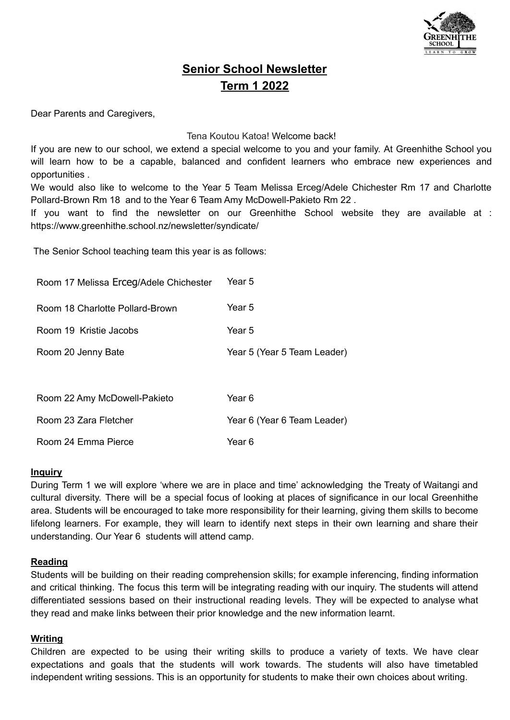

# **Senior School Newsletter Term 1 2022**

Dear Parents and Caregivers,

#### Tena Koutou Katoa! Welcome back!

If you are new to our school, we extend a special welcome to you and your family. At Greenhithe School you will learn how to be a capable, balanced and confident learners who embrace new experiences and opportunities .

We would also like to welcome to the Year 5 Team Melissa Erceg/Adele Chichester Rm 17 and Charlotte Pollard-Brown Rm 18 and to the Year 6 Team Amy McDowell-Pakieto Rm 22 .

If you want to find the newsletter on our Greenhithe School website they are available at : https://www.greenhithe.school.nz/newsletter/syndicate/

The Senior School teaching team this year is as follows:

| Room 17 Melissa Erceg/Adele Chichester | Year 5                      |  |
|----------------------------------------|-----------------------------|--|
| Room 18 Charlotte Pollard-Brown        | Year 5                      |  |
| Room 19 Kristie Jacobs                 | Year 5                      |  |
| Room 20 Jenny Bate                     | Year 5 (Year 5 Team Leader) |  |
|                                        |                             |  |
| Room 22 Amy McDowell-Pakieto           | Year 6                      |  |

| Room 23 Zara Fletcher | Year 6 (Year 6 Team Leader) |
|-----------------------|-----------------------------|
|-----------------------|-----------------------------|

## Room 24 Emma Pierce Year 6

#### **Inquiry**

During Term 1 we will explore 'where we are in place and time' acknowledging the Treaty of Waitangi and cultural diversity. There will be a special focus of looking at places of significance in our local Greenhithe area. Students will be encouraged to take more responsibility for their learning, giving them skills to become lifelong learners. For example, they will learn to identify next steps in their own learning and share their understanding. Our Year 6 students will attend camp.

## **Reading**

Students will be building on their reading comprehension skills; for example inferencing, finding information and critical thinking. The focus this term will be integrating reading with our inquiry. The students will attend differentiated sessions based on their instructional reading levels. They will be expected to analyse what they read and make links between their prior knowledge and the new information learnt.

## **Writing**

Children are expected to be using their writing skills to produce a variety of texts. We have clear expectations and goals that the students will work towards. The students will also have timetabled independent writing sessions. This is an opportunity for students to make their own choices about writing.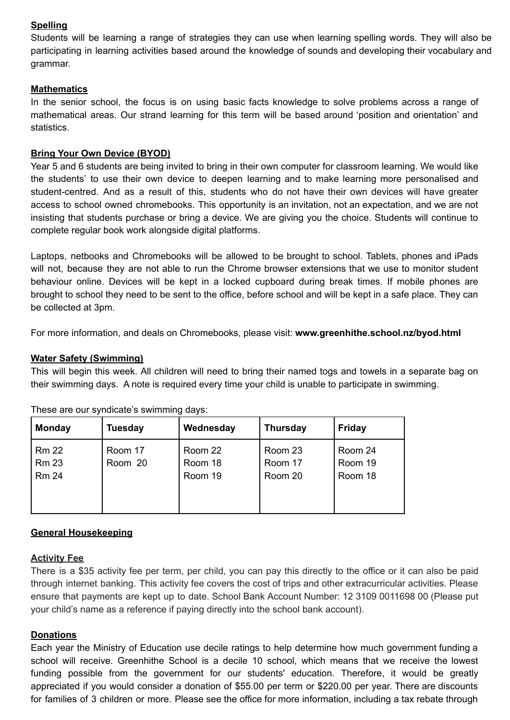## **Spelling**

Students will be learning a range of strategies they can use when learning spelling words. They will also be participating in learning activities based around the knowledge of sounds and developing their vocabulary and grammar.

## **Mathematics**

In the senior school, the focus is on using basic facts knowledge to solve problems across a range of mathematical areas. Our strand learning for this term will be based around 'position and orientation' and statistics.

## **Bring Your Own Device (BYOD)**

Year 5 and 6 students are being invited to bring in their own computer for classroom learning. We would like the students' to use their own device to deepen learning and to make learning more personalised and student-centred. And as a result of this, students who do not have their own devices will have greater access to school owned chromebooks. This opportunity is an invitation, not an expectation, and we are not insisting that students purchase or bring a device. We are giving you the choice. Students will continue to complete regular book work alongside digital platforms.

Laptops, netbooks and Chromebooks will be allowed to be brought to school. Tablets, phones and iPads will not, because they are not able to run the Chrome browser extensions that we use to monitor student behaviour online. Devices will be kept in a locked cupboard during break times. If mobile phones are brought to school they need to be sent to the office, before school and will be kept in a safe place. They can be collected at 3pm.

For more information, and deals on Chromebooks, please visit: **www.greenhithe.school.nz/byod.html**

## **Water Safety (Swimming)**

This will begin this week. All children will need to bring their named togs and towels in a separate bag on their swimming days. A note is required every time your child is unable to participate in swimming.

| <b>Monday</b>                                | <b>Tuesday</b>     | Wednesday                     | <b>Thursday</b>               | <b>Friday</b>                 |
|----------------------------------------------|--------------------|-------------------------------|-------------------------------|-------------------------------|
| <b>Rm 22</b><br><b>Rm 23</b><br><b>Rm 24</b> | Room 17<br>Room 20 | Room 22<br>Room 18<br>Room 19 | Room 23<br>Room 17<br>Room 20 | Room 24<br>Room 19<br>Room 18 |

These are our syndicate's swimming days:

## **General Housekeeping**

## **Activity Fee**

There is a \$35 activity fee per term, per child, you can pay this directly to the office or it can also be paid through internet banking. This activity fee covers the cost of trips and other extracurricular activities. Please ensure that payments are kept up to date. School Bank Account Number: 12 3109 0011698 00 (Please put your child's name as a reference if paying directly into the school bank account).

## **Donations**

Each year the Ministry of Education use decile ratings to help determine how much government funding a school will receive. Greenhithe School is a decile 10 school, which means that we receive the lowest funding possible from the government for our students' education. Therefore, it would be greatly appreciated if you would consider a donation of \$55.00 per term or \$220.00 per year. There are discounts for families of 3 children or more. Please see the office for more information, including a tax rebate through